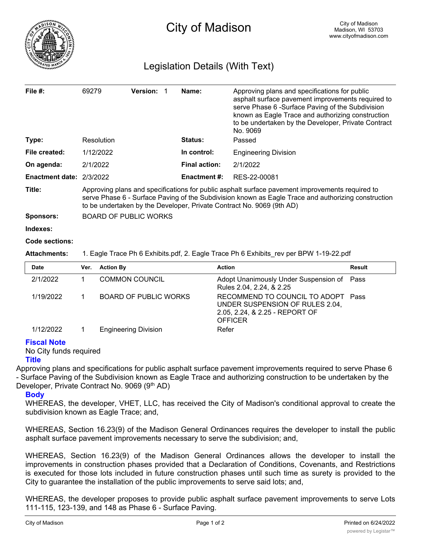

## Legislation Details (With Text)

| File $#$ :               | 69279                                                                                                                                                                                                                                                                           |                  | <b>Version:</b>       |  | Name:                | Approving plans and specifications for public<br>asphalt surface pavement improvements required to<br>serve Phase 6 -Surface Paving of the Subdivision<br>known as Eagle Trace and authorizing construction<br>to be undertaken by the Developer, Private Contract<br>No. 9069 |               |
|--------------------------|---------------------------------------------------------------------------------------------------------------------------------------------------------------------------------------------------------------------------------------------------------------------------------|------------------|-----------------------|--|----------------------|--------------------------------------------------------------------------------------------------------------------------------------------------------------------------------------------------------------------------------------------------------------------------------|---------------|
| Type:                    |                                                                                                                                                                                                                                                                                 | Resolution       |                       |  | Status:              | Passed                                                                                                                                                                                                                                                                         |               |
| File created:            |                                                                                                                                                                                                                                                                                 | 1/12/2022        |                       |  | In control:          | <b>Engineering Division</b>                                                                                                                                                                                                                                                    |               |
| On agenda:               |                                                                                                                                                                                                                                                                                 | 2/1/2022         |                       |  | <b>Final action:</b> | 2/1/2022                                                                                                                                                                                                                                                                       |               |
| Enactment date: 2/3/2022 |                                                                                                                                                                                                                                                                                 |                  |                       |  | <b>Enactment #:</b>  | RES-22-00081                                                                                                                                                                                                                                                                   |               |
| Title:                   | Approving plans and specifications for public asphalt surface pavement improvements required to<br>serve Phase 6 - Surface Paving of the Subdivision known as Eagle Trace and authorizing construction<br>to be undertaken by the Developer, Private Contract No. 9069 (9th AD) |                  |                       |  |                      |                                                                                                                                                                                                                                                                                |               |
| <b>Sponsors:</b>         | <b>BOARD OF PUBLIC WORKS</b>                                                                                                                                                                                                                                                    |                  |                       |  |                      |                                                                                                                                                                                                                                                                                |               |
| Indexes:                 |                                                                                                                                                                                                                                                                                 |                  |                       |  |                      |                                                                                                                                                                                                                                                                                |               |
| Code sections:           |                                                                                                                                                                                                                                                                                 |                  |                       |  |                      |                                                                                                                                                                                                                                                                                |               |
| <b>Attachments:</b>      |                                                                                                                                                                                                                                                                                 |                  |                       |  |                      | 1. Eagle Trace Ph 6 Exhibits.pdf, 2. Eagle Trace Ph 6 Exhibits_rev per BPW 1-19-22.pdf                                                                                                                                                                                         |               |
| <b>Date</b>              | Ver.                                                                                                                                                                                                                                                                            | <b>Action By</b> |                       |  |                      | <b>Action</b>                                                                                                                                                                                                                                                                  | <b>Result</b> |
| 2/1/2022                 | 1.                                                                                                                                                                                                                                                                              |                  | <b>COMMON COUNCIL</b> |  |                      | Adopt Unanimously Under Suspension of<br>Rules 2.04, 2.24, & 2.25                                                                                                                                                                                                              | Pass          |
|                          |                                                                                                                                                                                                                                                                                 |                  |                       |  |                      |                                                                                                                                                                                                                                                                                |               |

|           |                             | Rules 2.04, 2.24, & 2.25                                              |
|-----------|-----------------------------|-----------------------------------------------------------------------|
| 1/19/2022 | BOARD OF PUBLIC WORKS       | RECOMMEND TO COUNCIL TO ADOPT Pass<br>UNDER SUSPENSION OF RULES 2.04. |
|           |                             | 2.05, 2.24, & 2.25 - REPORT OF<br><b>OFFICER</b>                      |
| 1/12/2022 | <b>Engineering Division</b> | Refer                                                                 |

## **Fiscal Note**

No City funds required **Title**

Approving plans and specifications for public asphalt surface pavement improvements required to serve Phase 6 - Surface Paving of the Subdivision known as Eagle Trace and authorizing construction to be undertaken by the Developer, Private Contract No. 9069 (9<sup>th</sup> AD)

## **Body**

WHEREAS, the developer, VHET, LLC, has received the City of Madison's conditional approval to create the subdivision known as Eagle Trace; and,

WHEREAS, Section 16.23(9) of the Madison General Ordinances requires the developer to install the public asphalt surface pavement improvements necessary to serve the subdivision; and,

WHEREAS, Section 16.23(9) of the Madison General Ordinances allows the developer to install the improvements in construction phases provided that a Declaration of Conditions, Covenants, and Restrictions is executed for those lots included in future construction phases until such time as surety is provided to the City to guarantee the installation of the public improvements to serve said lots; and,

WHEREAS, the developer proposes to provide public asphalt surface pavement improvements to serve Lots 111-115, 123-139, and 148 as Phase 6 - Surface Paving.